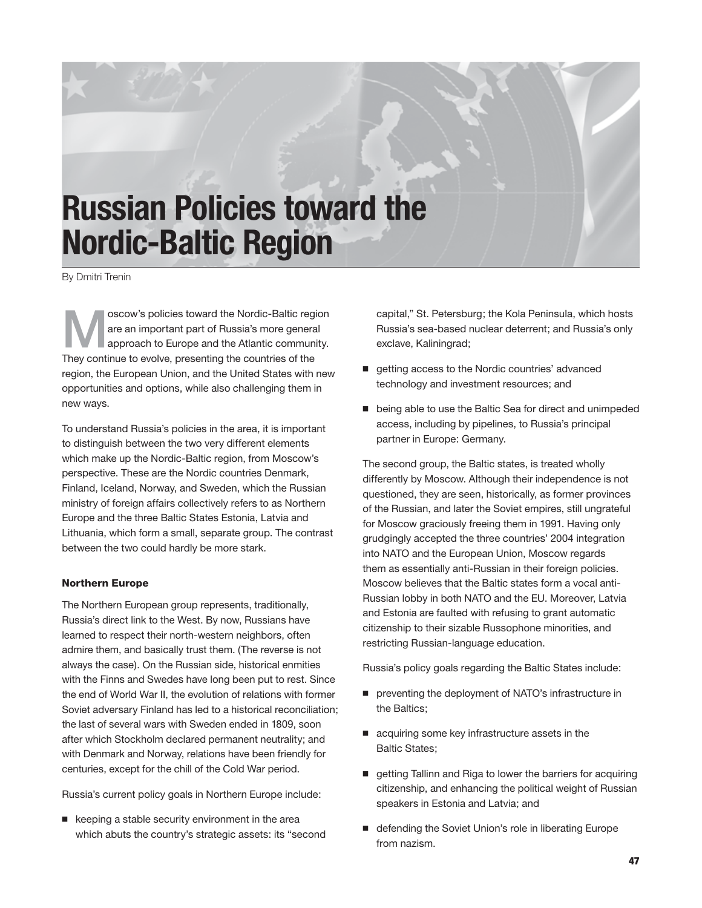# **Russian Policies toward the Nordic-Baltic Region**

By Dmitri Trenin

M oscow's policies toward the Nordic-Baltic region are an important part of Russia's more general approach to Europe and the Atlantic community. They continue to evolve, presenting the countries of the region, the European Union, and the United States with new opportunities and options, while also challenging them in new ways.

To understand Russia's policies in the area, it is important to distinguish between the two very different elements which make up the Nordic-Baltic region, from Moscow's perspective. These are the Nordic countries Denmark, Finland, Iceland, Norway, and Sweden, which the Russian ministry of foreign affairs collectively refers to as Northern Europe and the three Baltic States Estonia, Latvia and Lithuania, which form a small, separate group. The contrast between the two could hardly be more stark.

# Northern Europe

The Northern European group represents, traditionally, Russia's direct link to the West. By now, Russians have learned to respect their north-western neighbors, often admire them, and basically trust them. (The reverse is not always the case). On the Russian side, historical enmities with the Finns and Swedes have long been put to rest. Since the end of World War II, the evolution of relations with former Soviet adversary Finland has led to a historical reconciliation; the last of several wars with Sweden ended in 1809, soon after which Stockholm declared permanent neutrality; and with Denmark and Norway, relations have been friendly for centuries, except for the chill of the Cold War period.

Russia's current policy goals in Northern Europe include:

 $\blacksquare$  keeping a stable security environment in the area which abuts the country's strategic assets: its "second capital," St. Petersburg; the Kola Peninsula, which hosts Russia's sea-based nuclear deterrent; and Russia's only exclave, Kaliningrad;

- etting access to the Nordic countries' advanced technology and investment resources; and
- being able to use the Baltic Sea for direct and unimpeded access, including by pipelines, to Russia's principal partner in Europe: Germany.

The second group, the Baltic states, is treated wholly differently by Moscow. Although their independence is not questioned, they are seen, historically, as former provinces of the Russian, and later the Soviet empires, still ungrateful for Moscow graciously freeing them in 1991. Having only grudgingly accepted the three countries' 2004 integration into NATO and the European Union, Moscow regards them as essentially anti-Russian in their foreign policies. Moscow believes that the Baltic states form a vocal anti-Russian lobby in both NATO and the EU. Moreover, Latvia and Estonia are faulted with refusing to grant automatic citizenship to their sizable Russophone minorities, and restricting Russian-language education.

Russia's policy goals regarding the Baltic States include:

- preventing the deployment of NATO's infrastructure in the Baltics;
- acquiring some key infrastructure assets in the Baltic States;
- etting Tallinn and Riga to lower the barriers for acquiring citizenship, and enhancing the political weight of Russian speakers in Estonia and Latvia; and
- defending the Soviet Union's role in liberating Europe from nazism.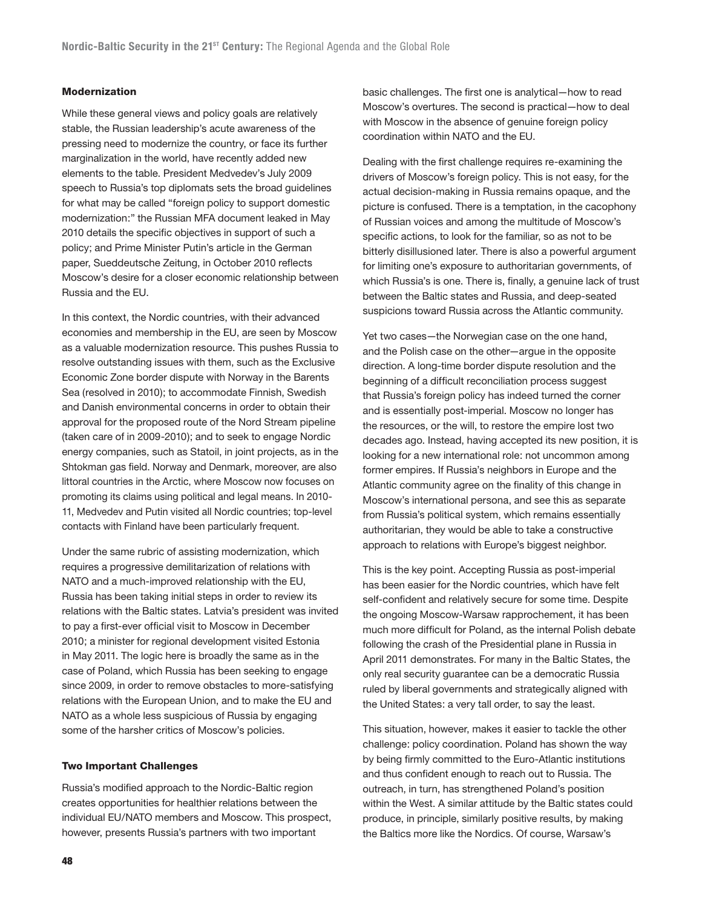## Modernization

While these general views and policy goals are relatively stable, the Russian leadership's acute awareness of the pressing need to modernize the country, or face its further marginalization in the world, have recently added new elements to the table. President Medvedev's July 2009 speech to Russia's top diplomats sets the broad guidelines for what may be called "foreign policy to support domestic modernization:" the Russian MFA document leaked in May 2010 details the specific objectives in support of such a policy; and Prime Minister Putin's article in the German paper, Sueddeutsche Zeitung, in October 2010 reflects Moscow's desire for a closer economic relationship between Russia and the EU.

In this context, the Nordic countries, with their advanced economies and membership in the EU, are seen by Moscow as a valuable modernization resource. This pushes Russia to resolve outstanding issues with them, such as the Exclusive Economic Zone border dispute with Norway in the Barents Sea (resolved in 2010); to accommodate Finnish, Swedish and Danish environmental concerns in order to obtain their approval for the proposed route of the Nord Stream pipeline (taken care of in 2009-2010); and to seek to engage Nordic energy companies, such as Statoil, in joint projects, as in the Shtokman gas field. Norway and Denmark, moreover, are also littoral countries in the Arctic, where Moscow now focuses on promoting its claims using political and legal means. In 2010- 11, Medvedev and Putin visited all Nordic countries; top-level contacts with Finland have been particularly frequent.

Under the same rubric of assisting modernization, which requires a progressive demilitarization of relations with NATO and a much-improved relationship with the EU, Russia has been taking initial steps in order to review its relations with the Baltic states. Latvia's president was invited to pay a first-ever official visit to Moscow in December 2010; a minister for regional development visited Estonia in May 2011. The logic here is broadly the same as in the case of Poland, which Russia has been seeking to engage since 2009, in order to remove obstacles to more-satisfying relations with the European Union, and to make the EU and NATO as a whole less suspicious of Russia by engaging some of the harsher critics of Moscow's policies.

#### Two Important Challenges

Russia's modified approach to the Nordic-Baltic region creates opportunities for healthier relations between the individual EU/NATO members and Moscow. This prospect, however, presents Russia's partners with two important

basic challenges. The first one is analytical—how to read Moscow's overtures. The second is practical—how to deal with Moscow in the absence of genuine foreign policy coordination within NATO and the EU.

Dealing with the first challenge requires re-examining the drivers of Moscow's foreign policy. This is not easy, for the actual decision-making in Russia remains opaque, and the picture is confused. There is a temptation, in the cacophony of Russian voices and among the multitude of Moscow's specific actions, to look for the familiar, so as not to be bitterly disillusioned later. There is also a powerful argument for limiting one's exposure to authoritarian governments, of which Russia's is one. There is, finally, a genuine lack of trust between the Baltic states and Russia, and deep-seated suspicions toward Russia across the Atlantic community.

Yet two cases—the Norwegian case on the one hand, and the Polish case on the other—argue in the opposite direction. A long-time border dispute resolution and the beginning of a difficult reconciliation process suggest that Russia's foreign policy has indeed turned the corner and is essentially post-imperial. Moscow no longer has the resources, or the will, to restore the empire lost two decades ago. Instead, having accepted its new position, it is looking for a new international role: not uncommon among former empires. If Russia's neighbors in Europe and the Atlantic community agree on the finality of this change in Moscow's international persona, and see this as separate from Russia's political system, which remains essentially authoritarian, they would be able to take a constructive approach to relations with Europe's biggest neighbor.

This is the key point. Accepting Russia as post-imperial has been easier for the Nordic countries, which have felt self-confident and relatively secure for some time. Despite the ongoing Moscow-Warsaw rapprochement, it has been much more difficult for Poland, as the internal Polish debate following the crash of the Presidential plane in Russia in April 2011 demonstrates. For many in the Baltic States, the only real security guarantee can be a democratic Russia ruled by liberal governments and strategically aligned with the United States: a very tall order, to say the least.

This situation, however, makes it easier to tackle the other challenge: policy coordination. Poland has shown the way by being firmly committed to the Euro-Atlantic institutions and thus confident enough to reach out to Russia. The outreach, in turn, has strengthened Poland's position within the West. A similar attitude by the Baltic states could produce, in principle, similarly positive results, by making the Baltics more like the Nordics. Of course, Warsaw's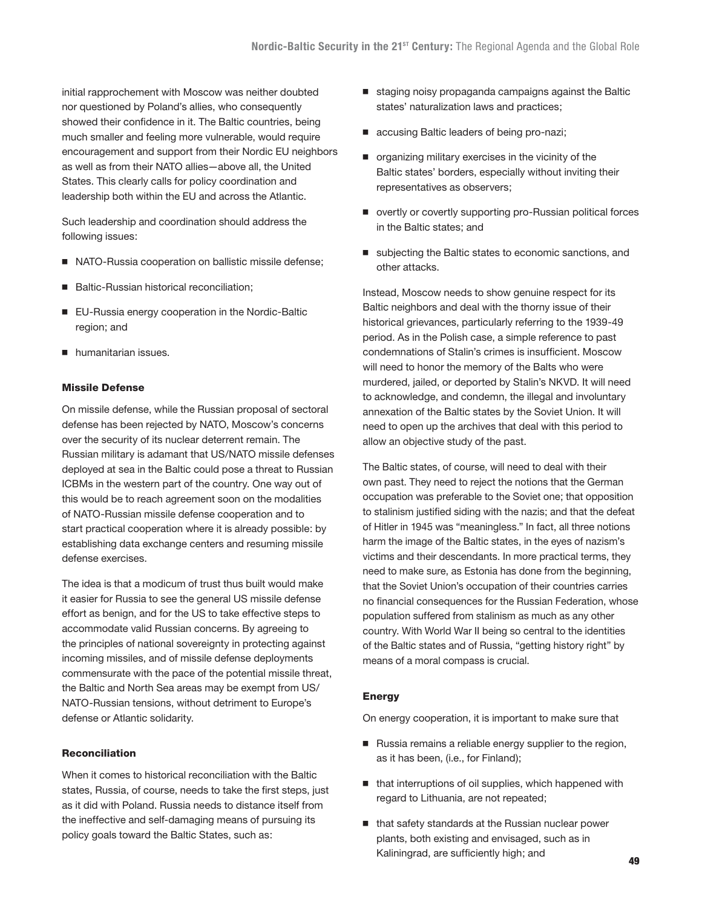initial rapprochement with Moscow was neither doubted nor questioned by Poland's allies, who consequently showed their confidence in it. The Baltic countries, being much smaller and feeling more vulnerable, would require encouragement and support from their Nordic EU neighbors as well as from their NATO allies—above all, the United States. This clearly calls for policy coordination and leadership both within the EU and across the Atlantic.

Such leadership and coordination should address the following issues:

- NATO-Russia cooperation on ballistic missile defense;
- Baltic-Russian historical reconciliation;
- EU-Russia energy cooperation in the Nordic-Baltic region; and
- **humanitarian issues.**

#### Missile Defense

On missile defense, while the Russian proposal of sectoral defense has been rejected by NATO, Moscow's concerns over the security of its nuclear deterrent remain. The Russian military is adamant that US/NATO missile defenses deployed at sea in the Baltic could pose a threat to Russian ICBMs in the western part of the country. One way out of this would be to reach agreement soon on the modalities of NATO-Russian missile defense cooperation and to start practical cooperation where it is already possible: by establishing data exchange centers and resuming missile defense exercises.

The idea is that a modicum of trust thus built would make it easier for Russia to see the general US missile defense effort as benign, and for the US to take effective steps to accommodate valid Russian concerns. By agreeing to the principles of national sovereignty in protecting against incoming missiles, and of missile defense deployments commensurate with the pace of the potential missile threat, the Baltic and North Sea areas may be exempt from US/ NATO-Russian tensions, without detriment to Europe's defense or Atlantic solidarity.

## Reconciliation

When it comes to historical reconciliation with the Baltic states, Russia, of course, needs to take the first steps, just as it did with Poland. Russia needs to distance itself from the ineffective and self-damaging means of pursuing its policy goals toward the Baltic States, such as:

- staging noisy propaganda campaigns against the Baltic states' naturalization laws and practices;
- accusing Baltic leaders of being pro-nazi;
- organizing military exercises in the vicinity of the Baltic states' borders, especially without inviting their representatives as observers;
- overtly or covertly supporting pro-Russian political forces in the Baltic states; and
- subjecting the Baltic states to economic sanctions, and other attacks.

Instead, Moscow needs to show genuine respect for its Baltic neighbors and deal with the thorny issue of their historical grievances, particularly referring to the 1939-49 period. As in the Polish case, a simple reference to past condemnations of Stalin's crimes is insufficient. Moscow will need to honor the memory of the Balts who were murdered, jailed, or deported by Stalin's NKVD. It will need to acknowledge, and condemn, the illegal and involuntary annexation of the Baltic states by the Soviet Union. It will need to open up the archives that deal with this period to allow an objective study of the past.

The Baltic states, of course, will need to deal with their own past. They need to reject the notions that the German occupation was preferable to the Soviet one; that opposition to stalinism justified siding with the nazis; and that the defeat of Hitler in 1945 was "meaningless." In fact, all three notions harm the image of the Baltic states, in the eyes of nazism's victims and their descendants. In more practical terms, they need to make sure, as Estonia has done from the beginning, that the Soviet Union's occupation of their countries carries no financial consequences for the Russian Federation, whose population suffered from stalinism as much as any other country. With World War II being so central to the identities of the Baltic states and of Russia, "getting history right" by means of a moral compass is crucial.

#### **Energy**

On energy cooperation, it is important to make sure that

- Russia remains a reliable energy supplier to the region, as it has been, (i.e., for Finland);
- $\blacksquare$  that interruptions of oil supplies, which happened with regard to Lithuania, are not repeated;
- that safety standards at the Russian nuclear power plants, both existing and envisaged, such as in Kaliningrad, are sufficiently high; and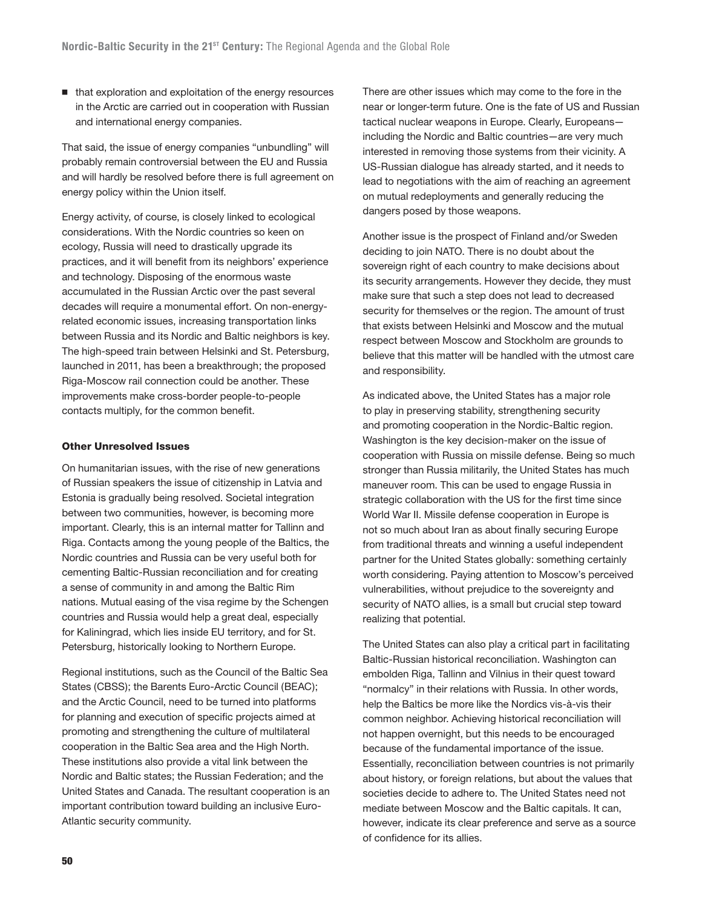■ that exploration and exploitation of the energy resources in the Arctic are carried out in cooperation with Russian and international energy companies.

That said, the issue of energy companies "unbundling" will probably remain controversial between the EU and Russia and will hardly be resolved before there is full agreement on energy policy within the Union itself.

Energy activity, of course, is closely linked to ecological considerations. With the Nordic countries so keen on ecology, Russia will need to drastically upgrade its practices, and it will benefit from its neighbors' experience and technology. Disposing of the enormous waste accumulated in the Russian Arctic over the past several decades will require a monumental effort. On non-energyrelated economic issues, increasing transportation links between Russia and its Nordic and Baltic neighbors is key. The high-speed train between Helsinki and St. Petersburg, launched in 2011, has been a breakthrough; the proposed Riga-Moscow rail connection could be another. These improvements make cross-border people-to-people contacts multiply, for the common benefit.

#### Other Unresolved Issues

On humanitarian issues, with the rise of new generations of Russian speakers the issue of citizenship in Latvia and Estonia is gradually being resolved. Societal integration between two communities, however, is becoming more important. Clearly, this is an internal matter for Tallinn and Riga. Contacts among the young people of the Baltics, the Nordic countries and Russia can be very useful both for cementing Baltic-Russian reconciliation and for creating a sense of community in and among the Baltic Rim nations. Mutual easing of the visa regime by the Schengen countries and Russia would help a great deal, especially for Kaliningrad, which lies inside EU territory, and for St. Petersburg, historically looking to Northern Europe.

Regional institutions, such as the Council of the Baltic Sea States (CBSS); the Barents Euro-Arctic Council (BEAC); and the Arctic Council, need to be turned into platforms for planning and execution of specific projects aimed at promoting and strengthening the culture of multilateral cooperation in the Baltic Sea area and the High North. These institutions also provide a vital link between the Nordic and Baltic states; the Russian Federation; and the United States and Canada. The resultant cooperation is an important contribution toward building an inclusive Euro-Atlantic security community.

There are other issues which may come to the fore in the near or longer-term future. One is the fate of US and Russian tactical nuclear weapons in Europe. Clearly, Europeans including the Nordic and Baltic countries—are very much interested in removing those systems from their vicinity. A US-Russian dialogue has already started, and it needs to lead to negotiations with the aim of reaching an agreement on mutual redeployments and generally reducing the dangers posed by those weapons.

Another issue is the prospect of Finland and/or Sweden deciding to join NATO. There is no doubt about the sovereign right of each country to make decisions about its security arrangements. However they decide, they must make sure that such a step does not lead to decreased security for themselves or the region. The amount of trust that exists between Helsinki and Moscow and the mutual respect between Moscow and Stockholm are grounds to believe that this matter will be handled with the utmost care and responsibility.

As indicated above, the United States has a major role to play in preserving stability, strengthening security and promoting cooperation in the Nordic-Baltic region. Washington is the key decision-maker on the issue of cooperation with Russia on missile defense. Being so much stronger than Russia militarily, the United States has much maneuver room. This can be used to engage Russia in strategic collaboration with the US for the first time since World War II. Missile defense cooperation in Europe is not so much about Iran as about finally securing Europe from traditional threats and winning a useful independent partner for the United States globally: something certainly worth considering. Paying attention to Moscow's perceived vulnerabilities, without prejudice to the sovereignty and security of NATO allies, is a small but crucial step toward realizing that potential.

The United States can also play a critical part in facilitating Baltic-Russian historical reconciliation. Washington can embolden Riga, Tallinn and Vilnius in their quest toward "normalcy" in their relations with Russia. In other words, help the Baltics be more like the Nordics vis-à-vis their common neighbor. Achieving historical reconciliation will not happen overnight, but this needs to be encouraged because of the fundamental importance of the issue. Essentially, reconciliation between countries is not primarily about history, or foreign relations, but about the values that societies decide to adhere to. The United States need not mediate between Moscow and the Baltic capitals. It can, however, indicate its clear preference and serve as a source of confidence for its allies.